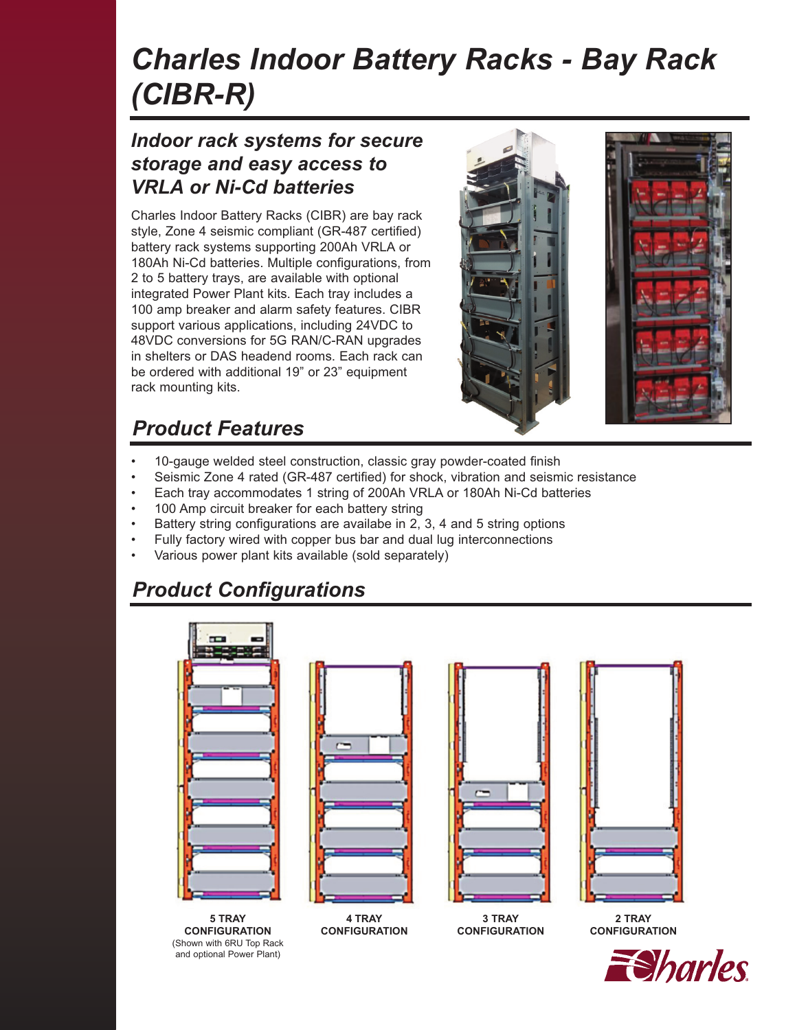# *Charles Indoor Battery Racks - Bay Rack (CIBR-R)*

#### *Indoor rack systems for secure storage and easy access to VRLA or Ni-Cd batteries*

Charles Indoor Battery Racks (CIBR) are bay rack style, Zone 4 seismic compliant (GR-487 certified) battery rack systems supporting 200Ah VRLA or 180Ah Ni-Cd batteries. Multiple configurations, from 2 to 5 battery trays, are available with optional integrated Power Plant kits. Each tray includes a 100 amp breaker and alarm safety features. CIBR support various applications, including 24VDC to 48VDC conversions for 5G RAN/C-RAN upgrades in shelters or DAS headend rooms. Each rack can be ordered with additional 19" or 23" equipment rack mounting kits.



# *Product Features*

- 10-gauge welded steel construction, classic gray powder-coated finish
- Seismic Zone 4 rated (GR-487 certified) for shock, vibration and seismic resistance
- Each tray accommodates 1 string of 200Ah VRLA or 180Ah Ni-Cd batteries
- 100 Amp circuit breaker for each battery string
- Battery string configurations are availabe in 2, 3, 4 and 5 string options
- Fully factory wired with copper bus bar and dual lug interconnections
- Various power plant kits available (sold separately)

## *Product Configurations*

and optional Power Plant)